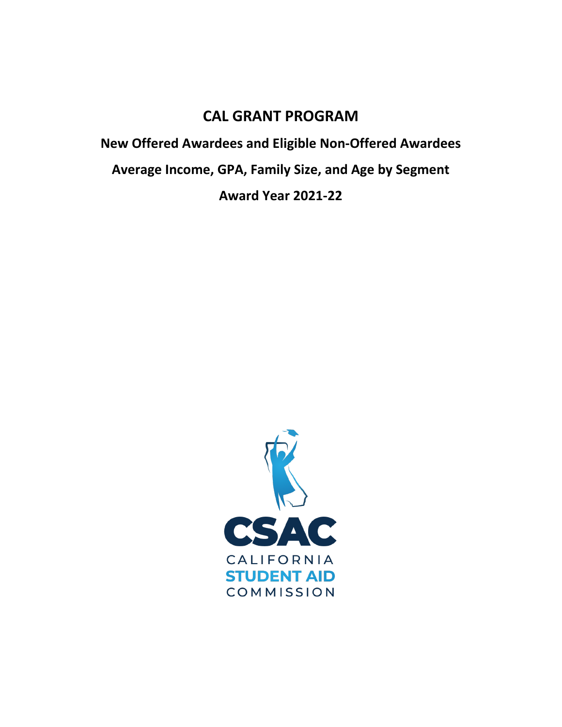# **CAL GRANT PROGRAM**

**New Offered Awardees and Eligible Non-Offered Awardees Average Income, GPA, Family Size, and Age by Segment Award Year 2021-22** 

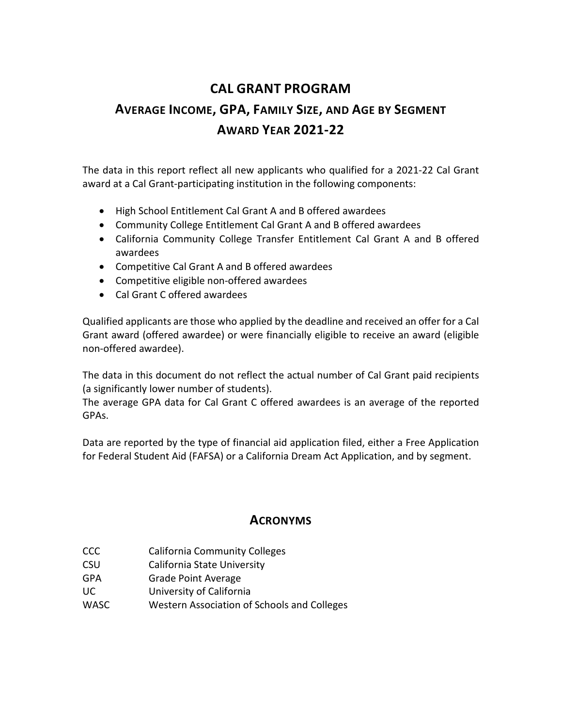# **CAL GRANT PROGRAM AVERAGE INCOME, GPA, FAMILY SIZE, AND AGE BY SEGMENT AWARD YEAR 2021-22**

The data in this report reflect all new applicants who qualified for a 2021-22 Cal Grant award at a Cal Grant-participating institution in the following components:

- High School Entitlement Cal Grant A and B offered awardees
- Community College Entitlement Cal Grant A and B offered awardees
- California Community College Transfer Entitlement Cal Grant A and B offered awardees
- Competitive Cal Grant A and B offered awardees
- Competitive eligible non-offered awardees
- Cal Grant C offered awardees

Qualified applicants are those who applied by the deadline and received an offer for a Cal Grant award (offered awardee) or were financially eligible to receive an award (eligible non-offered awardee).

The data in this document do not reflect the actual number of Cal Grant paid recipients (a significantly lower number of students).

The average GPA data for Cal Grant C offered awardees is an average of the reported GPAs.

Data are reported by the type of financial aid application filed, either a Free Application for Federal Student Aid (FAFSA) or a California Dream Act Application, and by segment.

# **ACRONYMS**

- CCC California Community Colleges
- CSU California State University
- GPA Grade Point Average
- UC University of California
- WASC Western Association of Schools and Colleges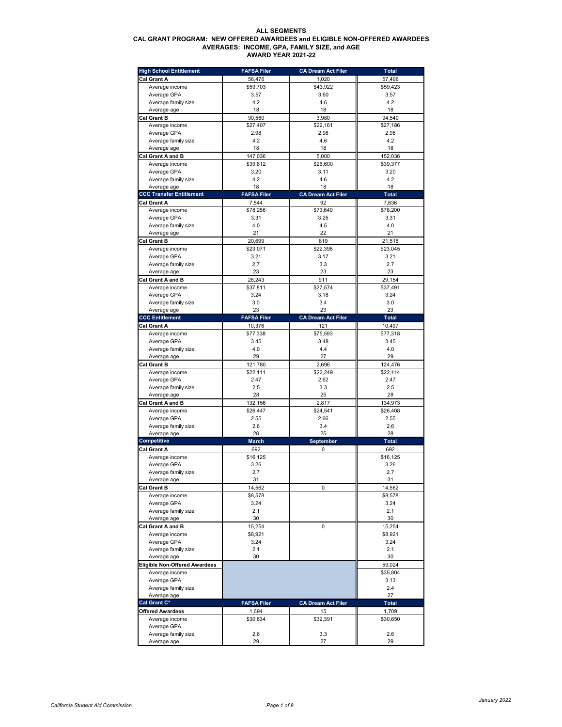### **ALL SEGMENTS CAL GRANT PROGRAM: NEW OFFERED AWARDEES and ELIGIBLE NON-OFFERED AWARDEES AVERAGES: INCOME, GPA, FAMILY SIZE, and AGE AWARD YEAR 2021-22**

| <b>High School Entitlement</b>       | <b>FAFSA Filer</b> | <b>CA Dream Act Filer</b> | <b>Total</b> |
|--------------------------------------|--------------------|---------------------------|--------------|
| Cal Grant A                          | 56,476             | 1,020                     | 57,496       |
| Average income                       | \$59,703           | \$43,922                  | \$59,423     |
| Average GPA                          | 3.57               | 3.60                      | 3.57         |
|                                      |                    |                           |              |
| Average family size                  | 4.2                | 4.6                       | 4.2          |
| Average age                          | 18                 | 18                        | 18           |
| <b>Cal Grant B</b>                   | 90,560             | 3,980                     | 94,540       |
| Average income                       | \$27,407           | \$22,161                  | \$27,186     |
| Average GPA                          | 2.98               | 2.98                      | 2.98         |
| Average family size                  | 4.2                | 4.6                       | 4.2          |
| Average age                          | 18                 | 18                        | 18           |
| <b>Cal Grant A and B</b>             | 147,036            | 5,000                     | 152,036      |
| Average income                       | \$39,812           | \$26,600                  | \$39,377     |
| Average GPA                          | 3.20               | 3.11                      | 3.20         |
|                                      |                    |                           |              |
| Average family size                  | 4.2                | 4.6                       | 4.2          |
| Average age                          | 18                 | 18                        | 18           |
| <b>CCC Transfer Entitlement</b>      | <b>FAFSA Filer</b> | <b>CA Dream Act Filer</b> | <b>Total</b> |
| Cal Grant A                          | 7,544              | 92                        | 7,636        |
| Average income                       | \$78,256           | \$73,649                  | \$78,200     |
| Average GPA                          | 3.31               | 3.25                      | 3.31         |
| Average family size                  | 4.0                | 4.5                       | 4.0          |
| Average age                          | 21                 | 22                        | 21           |
| Cal Grant B                          | 20,699             | 819                       | 21,518       |
| Average income                       | \$23,071           | \$22,398                  | \$23,045     |
|                                      |                    |                           |              |
| Average GPA                          | 3.21               | 3.17                      | 3.21         |
| Average family size                  | 2.7                | 3.3                       | 2.7          |
| Average age                          | 23                 | 23                        | 23           |
| Cal Grant A and B                    | 28,243             | 911                       | 29,154       |
| Average income                       | \$37,811           | \$27,574                  | \$37,491     |
| Average GPA                          | 3.24               | 3.18                      | 3.24         |
| Average family size                  | 3.0                | 3.4                       | 3.0          |
| Average age                          | 23                 | 23                        | 23           |
| <b>CCC Entitlement</b>               | <b>FAFSA Filer</b> | <b>CA Dream Act Filer</b> | <b>Total</b> |
| Cal Grant A                          | 10,376             | 121                       | 10,497       |
|                                      |                    |                           |              |
| Average income                       | \$77,338           | \$75,593                  | \$77,318     |
| Average GPA                          | 3.45               | 3.48                      | 3.45         |
| Average family size                  | 4.0                | 4.4                       | 4.0          |
| Average age                          | 29                 | 27                        | 29           |
| Cal Grant B                          | 121,780            | 2,696                     | 124,476      |
| Average income                       | \$22,111           | \$22,249                  | \$22,114     |
| Average GPA                          | 2.47               | 2.62                      | 2.47         |
| Average family size                  | 2.5                | 3.3                       | 2.5          |
| Average age                          | 28                 | 25                        | 28           |
| Cal Grant A and B                    | 132,156            | 2,817                     | 134,973      |
|                                      |                    | \$24,541                  |              |
| Average income                       | \$26,447           |                           | \$26,408     |
| Average GPA                          | 2.55               | 2.66                      | 2.55         |
| Average family size                  | 2.6                | 3.4                       | 2.6          |
| Average age                          | 28                 | 25                        | 28           |
| <b>Competitive</b>                   | <b>March</b>       | <b>September</b>          | <b>Total</b> |
| Cal Grant A                          | 692                | 0                         | 692          |
| Average income                       | \$16,125           |                           | \$16,125     |
| Average GPA                          | 3.26               |                           | 3.26         |
| Average family size                  | 2.7                |                           | 2.7          |
| Average age                          | 31                 |                           | 31           |
| Cal Grant B                          | 14,562             | 0                         | 14,562       |
| Average income                       | \$8,578            |                           | \$8,578      |
|                                      |                    |                           |              |
| Average GPA                          | 3.24               |                           | 3.24         |
| Average family size                  | 2.1                |                           | 2.1          |
| Average age                          | 30                 |                           | 30           |
| Cal Grant A and B                    | 15,254             | 0                         | 15,254       |
| Average income                       | \$8,921            |                           | \$8,921      |
| Average GPA                          | 3.24               |                           | 3.24         |
| Average family size                  | 2.1                |                           | 2.1          |
| Average age                          | 30                 |                           | 30           |
| <b>Eligible Non-Offered Awardees</b> |                    |                           | 59,024       |
| Average income                       |                    |                           | \$35,804     |
|                                      |                    |                           |              |
| Average GPA                          |                    |                           | 3.13         |
| Average family size                  |                    |                           | 2.4          |
| Average age                          |                    |                           | 27           |
| Cal Grant C*                         | <b>FAFSA Filer</b> | <b>CA Dream Act Filer</b> | Total        |
| Offered Awardees                     | 1,694              | 15                        | 1,709        |
| Average income                       | \$30,634           | \$32,391                  | \$30,650     |
|                                      |                    |                           |              |
| Average GPA                          |                    |                           |              |
| Average family size                  | 2.6                | 3.3                       | 2.6          |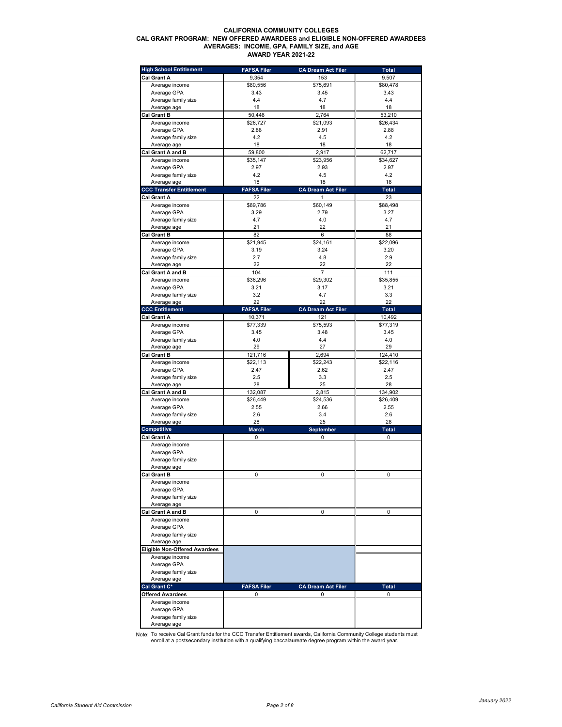#### **CALIFORNIA COMMUNITY COLLEGES CAL GRANT PROGRAM: NEW OFFERED AWARDEES and ELIGIBLE NON-OFFERED AWARDEES AVERAGES: INCOME, GPA, FAMILY SIZE, and AGE AWARD YEAR 2021-22**

| <b>High School Entitlement</b>       | <b>FAFSA Filer</b> | <b>CA Dream Act Filer</b> | <b>Total</b> |
|--------------------------------------|--------------------|---------------------------|--------------|
| Cal Grant A                          | 9,354              | 153                       | 9,507        |
| Average income                       | \$80,556           | \$75,691                  | \$80,478     |
| Average GPA                          | 3.43               | 3.45                      | 3.43         |
| Average family size                  | 4.4                | 4.7                       | 4.4          |
| Average age                          | 18                 | 18                        | 18           |
| <b>Cal Grant B</b>                   | 50,446             | 2,764                     | 53,210       |
|                                      |                    |                           |              |
| Average income                       | \$26,727           | \$21,093                  | \$26,434     |
| Average GPA                          | 2.88               | 2.91                      | 2.88         |
| Average family size                  | 4.2                | 4.5                       | 4.2          |
| Average age                          | 18                 | 18                        | 18           |
| Cal Grant A and B                    | 59,800             | 2,917                     | 62,717       |
| Average income                       | \$35,147           | \$23,956                  | \$34,627     |
| Average GPA                          | 2.97               | 2.93                      | 2.97         |
| Average family size                  | 4.2                | 4.5                       | 4.2          |
| Average age                          | 18                 | 18                        | 18           |
| <b>CCC Transfer Entitlement</b>      | <b>FAFSA Filer</b> | <b>CA Dream Act Filer</b> | Total        |
|                                      |                    |                           |              |
| Cal Grant A                          | 22                 | 1                         | 23           |
| Average income                       | \$89,786           | \$60,149                  | \$88,498     |
| Average GPA                          | 3.29               | 2.79                      | 3.27         |
| Average family size                  | 4.7                | 4.0                       | 4.7          |
| Average age                          | 21                 | 22                        | 21           |
| <b>Cal Grant B</b>                   | 82                 | 6                         | 88           |
| Average income                       | \$21,945           | \$24,161                  | \$22,096     |
| Average GPA                          | 3.19               | 3.24                      | 3.20         |
|                                      | 2.7                | 4.8                       | 2.9          |
| Average family size                  |                    |                           |              |
| Average age                          | 22                 | 22                        | 22           |
| Cal Grant A and B                    | 104                | 7                         | 111          |
| Average income                       | \$36,296           | \$29,302                  | \$35,855     |
| Average GPA                          | 3.21               | 3.17                      | 3.21         |
| Average family size                  | 3.2                | 4.7                       | 3.3          |
| Average age                          | 22                 | 22                        | 22           |
| <b>CCC Entitlement</b>               | <b>FAFSA Filer</b> | <b>CA Dream Act Filer</b> | <b>Total</b> |
| <b>Cal Grant A</b>                   | 10,371             | 121                       | 10,492       |
|                                      |                    |                           |              |
| Average income                       | \$77,339           | \$75,593                  | \$77,319     |
| Average GPA                          | 3.45               | 3.48                      | 3.45         |
| Average family size                  | 4.0                | 4.4                       | 4.0          |
| Average age                          | 29                 | 27                        | 29           |
| <b>Cal Grant B</b>                   | 121,716            | 2,694                     | 124,410      |
| Average income                       | \$22,113           | \$22,243                  | \$22,116     |
| Average GPA                          | 2.47               | 2.62                      | 2.47         |
| Average family size                  | 2.5                | 3.3                       | 2.5          |
| Average age                          | 28                 | 25                        | 28           |
| Cal Grant A and B                    | 132,087            | 2,815                     | 134,902      |
|                                      |                    |                           |              |
| Average income                       | \$26,449           | \$24,536                  | \$26,409     |
| Average GPA                          | 2.55               | 2.66                      | 2.55         |
| Average family size                  | 2.6                | 3.4                       | 2.6          |
| Average age                          | 28                 | 25                        | 28           |
| <b>Competitive</b>                   | <b>March</b>       | September                 | Total        |
| Cal Grant A                          | 0                  | 0                         | 0            |
| Average income                       |                    |                           |              |
| Average GPA                          |                    |                           |              |
| Average family size                  |                    |                           |              |
| Average age                          |                    |                           |              |
|                                      | $\Omega$           | $\sqrt{2}$                | $\sqrt{2}$   |
| Cal Grant B                          |                    |                           |              |
| Average income                       |                    |                           |              |
| Average GPA                          |                    |                           |              |
| Average family size                  |                    |                           |              |
| Average age                          |                    |                           |              |
| Cal Grant A and B                    | 0                  | 0                         | 0            |
| Average income                       |                    |                           |              |
| Average GPA                          |                    |                           |              |
| Average family size                  |                    |                           |              |
| Average age                          |                    |                           |              |
| <b>Eligible Non-Offered Awardees</b> |                    |                           |              |
|                                      |                    |                           |              |
| Average income                       |                    |                           |              |
| Average GPA                          |                    |                           |              |
| Average family size                  |                    |                           |              |
| Average age                          |                    |                           |              |
| Cal Grant C*                         | <b>FAFSA Filer</b> | <b>CA Dream Act Filer</b> | <b>Total</b> |
| <b>Offered Awardees</b>              | 0                  | 0                         | 0            |
| Average income                       |                    |                           |              |
| Average GPA                          |                    |                           |              |
| Average family size                  |                    |                           |              |
| Average age                          |                    |                           |              |

Note: To receive Cal Grant funds for the CCC Transfer Entitlement awards, California Community College students must<br>enroll at a postsecondary institution with a qualifying baccalaureate degree program within the award ye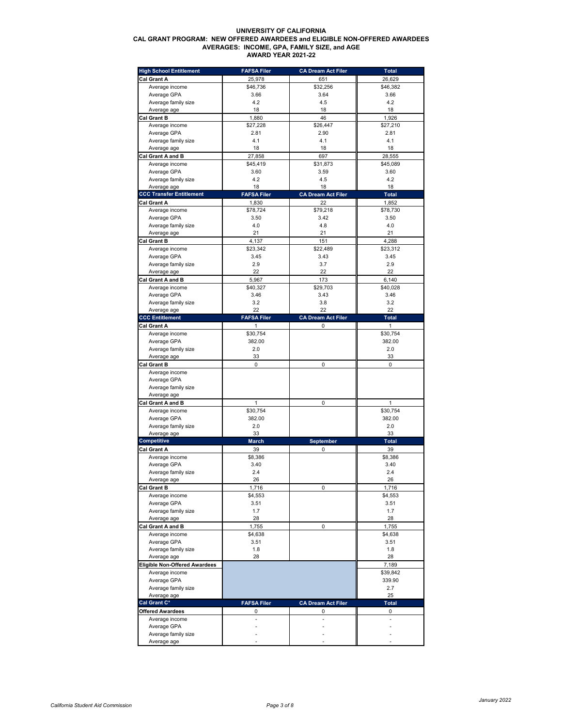### **UNIVERSITY OF CALIFORNIA CAL GRANT PROGRAM: NEW OFFERED AWARDEES and ELIGIBLE NON-OFFERED AWARDEES AVERAGES: INCOME, GPA, FAMILY SIZE, and AGE AWARD YEAR 2021-22**

| <b>High School Entitlement</b>       | <b>FAFSA Filer</b> | <b>CA Dream Act Filer</b> | <b>Total</b> |
|--------------------------------------|--------------------|---------------------------|--------------|
| Cal Grant A                          | 25.978             | 651                       | 26,629       |
| Average income                       | \$46,736           | \$32,256                  | \$46,382     |
| Average GPA                          | 3.66               | 3.64                      | 3.66         |
| Average family size                  | 4.2                | 4.5                       | 4.2          |
| Average age                          | 18                 | 18                        | 18           |
| Cal Grant B                          | 1,880              | 46                        | 1,926        |
| Average income                       | \$27,228           | \$26,447                  | \$27,210     |
| Average GPA                          | 2.81               | 2.90                      | 2.81         |
| Average family size                  | 4.1                | 4.1                       | 4.1          |
| Average age                          | 18                 | 18                        | 18           |
| Cal Grant A and B                    | 27,858             | 697                       | 28,555       |
| Average income                       | \$45,419           | \$31,873                  | \$45,089     |
| Average GPA                          | 3.60               | 3.59                      | 3.60         |
| Average family size                  | 4.2                | 4.5                       | 4.2          |
| Average age                          | 18                 | 18                        | 18           |
| <b>CCC Transfer Entitlement</b>      | <b>FAFSA Filer</b> | <b>CA Dream Act Filer</b> | <b>Total</b> |
| Cal Grant A                          | 1,830              | 22                        | 1,852        |
|                                      | \$78,724           | \$79,218                  | \$78,730     |
| Average income                       |                    | 3.42                      |              |
| Average GPA<br>Average family size   | 3.50<br>4.0        | 4.8                       | 3.50<br>4.0  |
|                                      | 21                 | 21                        | 21           |
| Average age                          |                    |                           |              |
| Cal Grant B                          | 4,137              | 151                       | 4,288        |
| Average income                       | \$23,342           | \$22,489                  | \$23,312     |
| Average GPA                          | 3.45               | 3.43                      | 3.45         |
| Average family size                  | 2.9<br>22          | 3.7<br>22                 | 2.9<br>22    |
| Average age                          |                    |                           |              |
| Cal Grant A and B                    | 5,967              | 173                       | 6,140        |
| Average income                       | \$40,327           | \$29,703                  | \$40,028     |
| Average GPA                          | 3.46               | 3.43                      | 3.46         |
| Average family size                  | 3.2                | 3.8                       | 3.2          |
| Average age                          | 22                 | 22                        | 22           |
| <b>CCC Entitlement</b>               | <b>FAFSA Filer</b> | <b>CA Dream Act Filer</b> | Total        |
| Cal Grant A                          | 1                  | 0                         | 1            |
| Average income                       | \$30,754           |                           | \$30,754     |
| Average GPA                          | 382.00             |                           | 382.00       |
| Average family size                  | 2.0                |                           | 2.0          |
| Average age                          | 33                 |                           | 33           |
| <b>Cal Grant B</b>                   | $\mathbf 0$        | 0                         | 0            |
| Average income                       |                    |                           |              |
| Average GPA                          |                    |                           |              |
| Average family size                  |                    |                           |              |
| Average age                          |                    |                           |              |
| Cal Grant A and B                    | $\mathbf{1}$       | 0                         | $\mathbf{1}$ |
| Average income                       | \$30,754           |                           | \$30,754     |
| Average GPA                          | 382.00             |                           | 382.00       |
| Average family size                  | 2.0                |                           | 2.0          |
| Average age                          | 33                 |                           | 33           |
| <b>Competitive</b>                   | <b>March</b>       | September                 | <b>Total</b> |
| Cal Grant A                          | 39                 | 0                         | 39           |
| Average income                       | \$8,386            |                           | \$8,386      |
| Average GPA                          | 3.40               |                           | 3.40         |
| Average family size                  | 2.4                |                           | 2.4          |
| Average age                          | 26                 |                           | 26           |
| <b>Cal Grant B</b>                   | 1,716              | 0                         | 1,716        |
| Average income                       | \$4,553            |                           | \$4,553      |
| Average GPA                          | 3.51               |                           | 3.51         |
| Average family size                  | 1.7                |                           | 1.7          |
| Average age                          | 28                 |                           | 28           |
| Cal Grant A and B                    | 1,755              | 0                         | 1,755        |
| Average income                       | \$4,638            |                           | \$4,638      |
| Average GPA                          | 3.51               |                           | 3.51         |
| Average family size                  | 1.8                |                           | 1.8          |
| Average age                          | 28                 |                           | 28           |
| <b>Eligible Non-Offered Awardees</b> |                    |                           | 7,189        |
| Average income                       |                    |                           | \$39,842     |
| Average GPA                          |                    |                           | 339.90       |
| Average family size                  |                    |                           | 2.7          |
| Average age                          |                    |                           | 25           |
| Cal Grant C*                         | <b>FAFSA Filer</b> | <b>CA Dream Act Filer</b> | <b>Total</b> |
| <b>Offered Awardees</b>              | 0                  | 0                         | 0            |
| Average income                       |                    | ä,                        | ä,           |
| Average GPA                          |                    |                           |              |
| Average family size                  |                    |                           |              |
| Average age                          |                    |                           |              |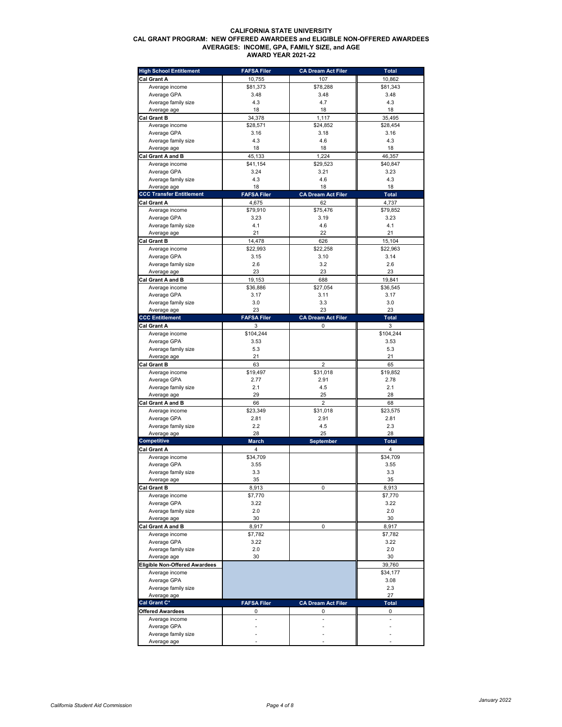# **CALIFORNIA STATE UNIVERSITY CAL GRANT PROGRAM: NEW OFFERED AWARDEES and ELIGIBLE NON-OFFERED AWARDEES AVERAGES: INCOME, GPA, FAMILY SIZE, and AGE AWARD YEAR 2021-22**

| <b>High School Entitlement</b>       | <b>FAFSA Filer</b> | <b>CA Dream Act Filer</b> | <b>Total</b>            |
|--------------------------------------|--------------------|---------------------------|-------------------------|
| Cal Grant A                          | 10,755             | 107                       | 10,862                  |
| Average income                       | \$81,373           | \$78,288                  | \$81,343                |
| Average GPA                          | 3.48               | 3.48                      | 3.48                    |
| Average family size                  | 4.3                | 4.7                       | 4.3                     |
| Average age                          | 18                 | 18                        | 18                      |
| Cal Grant B                          | 34,378             | 1,117                     | 35,495                  |
| Average income                       | \$28,571           | \$24,852                  | \$28,454                |
| Average GPA                          | 3.16               | 3.18                      | 3.16                    |
| Average family size                  | 4.3                | 4.6                       | 4.3                     |
| Average age                          | 18                 | 18                        | 18                      |
| Cal Grant A and B                    | 45,133             | 1.224                     | 46,357                  |
| Average income                       | \$41,154           | \$29,523                  | \$40,847                |
| Average GPA                          | 3.24               | 3.21                      | 3.23                    |
| Average family size                  | 4.3                | 4.6                       | 4.3                     |
| Average age                          | 18                 | 18                        | 18                      |
| <b>CCC Transfer Entitlement</b>      | <b>FAFSA Filer</b> | <b>CA Dream Act Filer</b> | Total                   |
| Cal Grant A                          | 4,675              | 62                        | 4,737                   |
| Average income                       | \$79,910           | \$75,476                  | \$79,852                |
| Average GPA                          | 3.23               | 3.19                      | 3.23                    |
| Average family size                  | 4.1                | 4.6                       | 4.1                     |
| Average age                          | 21                 | 22                        | 21                      |
|                                      |                    |                           | 15,104                  |
| <b>Cal Grant B</b>                   | 14,478             | 626                       |                         |
| Average income                       | \$22,993           | \$22,258                  | \$22,963                |
| Average GPA                          | 3.15               | 3.10                      | 3.14                    |
| Average family size<br>Average age   | 2.6                | 3.2                       | 2.6                     |
|                                      | 23                 | 23                        | 23<br>19.841            |
| Cal Grant A and B                    | 19,153             | 688                       |                         |
| Average income                       | \$36,886           | \$27,054                  | \$36,545                |
| Average GPA                          | 3.17               | 3.11                      | 3.17                    |
| Average family size                  | 3.0                | 3.3                       | 3.0                     |
| Average age                          | 23                 | 23                        | 23                      |
| <b>CCC Entitlement</b>               | <b>FAFSA Filer</b> | <b>CA Dream Act Filer</b> | Total                   |
| Cal Grant A                          | 3                  | 0                         | 3                       |
| Average income                       | \$104,244          |                           | \$104,244               |
| Average GPA                          | 3.53               |                           | 3.53                    |
| Average family size                  | 5.3                |                           | 5.3                     |
| Average age                          | 21                 |                           | 21                      |
| <b>Cal Grant B</b>                   | 63                 | $\overline{2}$            | 65                      |
| Average income                       | \$19,497           | \$31,018                  | \$19,852                |
| Average GPA                          | 2.77               | 2.91                      | 2.78                    |
| Average family size                  | 2.1                | 4.5                       | 2.1                     |
| Average age                          | 29                 | 25                        | 28                      |
| Cal Grant A and B                    | 66                 | $\overline{2}$            | 68                      |
| Average income                       | \$23,349           | \$31,018                  | \$23,575                |
| Average GPA                          | 2.81               | 2.91                      | 2.81                    |
| Average family size                  | 2.2                | 4.5                       | 2.3                     |
| Average age                          | 28                 | 25                        | 28                      |
| Competitive                          | <b>March</b>       | <b>September</b>          | <b>Total</b>            |
| Cal Grant A                          | 4                  |                           | $\overline{\mathbf{4}}$ |
| Average income                       | \$34,709           |                           | \$34,709                |
| Average GPA                          | 3.55               |                           | 3.55                    |
| Average family size                  | 3.3                |                           | 3.3                     |
| Average age                          | 35                 |                           | 35                      |
| <b>Cal Grant B</b>                   | 8,913              | 0                         | 8,913                   |
| Average income                       | \$7,770            |                           | \$7,770                 |
| Average GPA                          | 3.22               |                           | 3.22                    |
| Average family size                  | 2.0                |                           | 2.0                     |
| Average age                          | 30                 |                           | 30                      |
| Cal Grant A and B                    | 8,917              | 0                         | 8,917                   |
| Average income                       | \$7,782            |                           | \$7,782                 |
| Average GPA                          | 3.22               |                           | 3.22                    |
| Average family size                  | 2.0                |                           | 2.0                     |
| Average age                          | 30                 |                           | 30                      |
| <b>Eligible Non-Offered Awardees</b> |                    |                           | 39,760                  |
| Average income                       |                    |                           | \$34,177                |
| Average GPA                          |                    |                           | 3.08                    |
| Average family size                  |                    |                           | 2.3                     |
| Average age                          |                    |                           | 27                      |
| Cal Grant C*                         | <b>FAFSA Filer</b> | <b>CA Dream Act Filer</b> | Total                   |
| Offered Awardees                     | 0                  | 0                         | 0                       |
| Average income                       | L.                 | L.                        | $\overline{a}$          |
| Average GPA                          |                    |                           |                         |
| Average family size                  |                    |                           |                         |
| Average age                          |                    |                           |                         |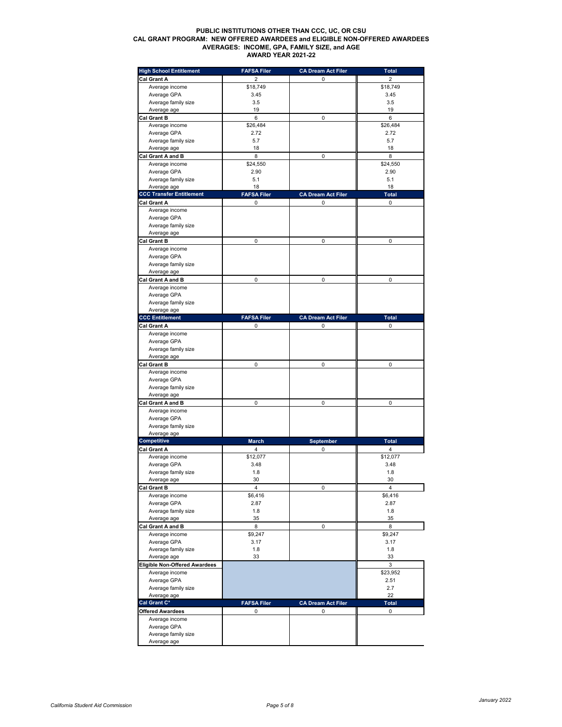# **PUBLIC INSTITUTIONS OTHER THAN CCC, UC, OR CSU CAL GRANT PROGRAM: NEW OFFERED AWARDEES and ELIGIBLE NON-OFFERED AWARDEES AVERAGES: INCOME, GPA, FAMILY SIZE, and AGE AWARD YEAR 2021-22**

| <b>High School Entitlement</b>       | <b>FAFSA Filer</b> | <b>CA Dream Act Filer</b> | Total                   |
|--------------------------------------|--------------------|---------------------------|-------------------------|
| Cal Grant A                          | 2                  | 0                         | $\overline{2}$          |
| Average income                       | \$18,749           |                           | \$18,749                |
| Average GPA                          | 3.45               |                           | 3.45                    |
| Average family size                  | 3.5                |                           | 3.5                     |
| Average age                          | 19                 |                           | 19                      |
| <b>Cal Grant B</b>                   | 6                  | 0                         | 6                       |
| Average income                       | \$26,484           |                           | \$26,484                |
| Average GPA                          | 2.72               |                           | 2.72                    |
| Average family size                  | 5.7                |                           | 5.7                     |
| Average age                          | 18                 |                           | 18                      |
| Cal Grant A and B                    | 8                  | 0                         | 8<br>\$24,550           |
| Average income<br>Average GPA        | \$24,550           |                           |                         |
| Average family size                  | 2.90<br>5.1        |                           | 2.90<br>5.1             |
| Average age                          | 18                 |                           | 18                      |
| <b>CCC Transfer Entitlement</b>      | <b>FAFSA Filer</b> | <b>CA Dream Act Filer</b> | <b>Total</b>            |
| Cal Grant A                          | 0                  | 0                         | 0                       |
| Average income                       |                    |                           |                         |
| Average GPA                          |                    |                           |                         |
| Average family size                  |                    |                           |                         |
| Average age                          |                    |                           |                         |
| <b>Cal Grant B</b>                   | 0                  | 0                         | 0                       |
| Average income                       |                    |                           |                         |
| Average GPA                          |                    |                           |                         |
| Average family size                  |                    |                           |                         |
| Average age                          |                    |                           |                         |
| Cal Grant A and B                    | 0                  | 0                         | 0                       |
| Average income                       |                    |                           |                         |
| Average GPA                          |                    |                           |                         |
| Average family size                  |                    |                           |                         |
| Average age                          |                    |                           |                         |
| <b>CCC Entitlement</b>               | <b>FAFSA Filer</b> | <b>CA Dream Act Filer</b> | <b>Total</b>            |
| Cal Grant A                          | 0                  | 0                         | 0                       |
| Average income                       |                    |                           |                         |
| Average GPA                          |                    |                           |                         |
| Average family size                  |                    |                           |                         |
| Average age                          |                    |                           |                         |
| <b>Cal Grant B</b>                   | 0                  | 0                         | 0                       |
| Average income<br>Average GPA        |                    |                           |                         |
| Average family size                  |                    |                           |                         |
| Average age                          |                    |                           |                         |
| Cal Grant A and B                    | 0                  | 0                         | 0                       |
| Average income                       |                    |                           |                         |
| Average GPA                          |                    |                           |                         |
| Average family size                  |                    |                           |                         |
| Average age                          |                    |                           |                         |
| <b>Competitive</b>                   | <b>March</b>       | September                 | <b>Total</b>            |
| Cal Grant A                          | 4                  | 0                         | 4                       |
| Average income                       | \$12,077           |                           | \$12,077                |
| Average GPA                          | 3.48               |                           | 3.48                    |
| Average family size                  | 1.8                |                           | 1.8                     |
| Average age                          | 30                 |                           | 30                      |
| <b>Cal Grant B</b>                   | 4                  | 0                         | $\overline{\mathbf{4}}$ |
| Average income                       | \$6,416            |                           | \$6,416                 |
| Average GPA                          | 2.87               |                           | 2.87                    |
| Average family size                  | 1.8                |                           | 1.8                     |
| Average age                          | 35                 |                           | 35                      |
| Cal Grant A and B                    | 8<br>\$9,247       | 0                         | 8<br>\$9,247            |
| Average income<br>Average GPA        | 3.17               |                           | 3.17                    |
| Average family size                  | 1.8                |                           | 1.8                     |
| Average age                          | 33                 |                           | 33                      |
| <b>Eligible Non-Offered Awardees</b> |                    |                           | 3                       |
| Average income                       |                    |                           | \$23,952                |
| Average GPA                          |                    |                           | 2.51                    |
| Average family size                  |                    |                           | 2.7                     |
| Average age                          |                    |                           | 22                      |
| Cal Grant C*                         | <b>FAFSA Filer</b> | <b>CA Dream Act Filer</b> | <b>Total</b>            |
| Offered Awardees                     | 0                  | 0                         | 0                       |
| Average income                       |                    |                           |                         |
| Average GPA                          |                    |                           |                         |
| Average family size                  |                    |                           |                         |
| Average age                          |                    |                           |                         |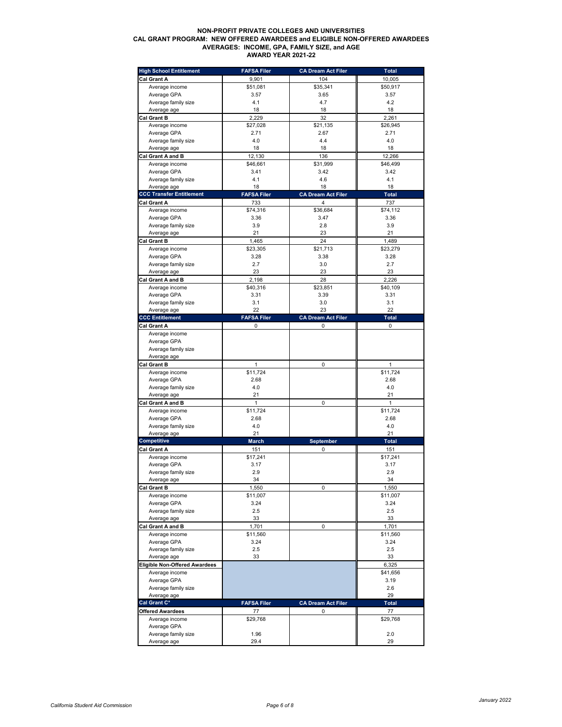# **NON-PROFIT PRIVATE COLLEGES AND UNIVERSITIES CAL GRANT PROGRAM: NEW OFFERED AWARDEES and ELIGIBLE NON-OFFERED AWARDEES AVERAGES: INCOME, GPA, FAMILY SIZE, and AGE AWARD YEAR 2021-22**

| <b>High School Entitlement</b>       | <b>FAFSA Filer</b> | <b>CA Dream Act Filer</b> | <b>Total</b> |
|--------------------------------------|--------------------|---------------------------|--------------|
| Cal Grant A                          | 9,901              | 104                       | 10,005       |
| Average income                       | \$51,081           | \$35,341                  | \$50,917     |
| Average GPA                          | 3.57               | 3.65                      | 3.57         |
| Average family size                  | 4.1                | 4.7                       | 4.2          |
| Average age                          | 18                 | 18                        | 18           |
| <b>Cal Grant B</b>                   | 2,229              | 32                        | 2.261        |
| Average income                       | \$27,028           | \$21,135                  | \$26,945     |
| Average GPA                          | 2.71               | 2.67                      | 2.71         |
| Average family size                  | 4.0                | 4.4                       | 4.0          |
| Average age                          | 18                 | 18                        | 18           |
| Cal Grant A and B                    | 12,130             | 136                       | 12,266       |
| Average income                       | \$46,661           | \$31,999                  | \$46,499     |
| Average GPA                          | 3.41               | 3.42                      | 3.42         |
| Average family size                  | 4.1                | 4.6                       | 4.1          |
| Average age                          | 18                 | 18                        | 18           |
| <b>CCC Transfer Entitlement</b>      | <b>FAFSA Filer</b> | <b>CA Dream Act Filer</b> | Total        |
| Cal Grant A                          | 733                | 4                         | 737          |
| Average income                       | \$74,316           | \$36,684                  | \$74,112     |
| Average GPA                          | 3.36               | 3.47                      | 3.36         |
| Average family size                  | 3.9                | 2.8                       | 3.9          |
| Average age                          | 21                 | 23                        | 21           |
| <b>Cal Grant B</b>                   | 1,465              | 24                        | 1,489        |
| Average income                       | \$23,305           | \$21,713                  | \$23,279     |
| Average GPA                          | 3.28               | 3.38                      | 3.28         |
| Average family size                  | 2.7                | 3.0                       | 2.7          |
| Average age                          | 23                 | 23                        | 23           |
| Cal Grant A and B                    | 2,198              | 28                        | 2,226        |
| Average income                       | \$40,316           | \$23,851                  | \$40,109     |
| Average GPA                          | 3.31               | 3.39                      | 3.31         |
| Average family size                  | 3.1                | 3.0                       | 3.1          |
| Average age                          | 22                 | 23                        | 22           |
| <b>CCC Entitlement</b>               | <b>FAFSA Filer</b> | <b>CA Dream Act Filer</b> | <b>Total</b> |
| <b>Cal Grant A</b>                   | 0                  | 0                         | 0            |
| Average income                       |                    |                           |              |
| Average GPA                          |                    |                           |              |
| Average family size                  |                    |                           |              |
| Average age                          |                    |                           |              |
| <b>Cal Grant B</b>                   | $\mathbf{1}$       | 0                         | 1            |
| Average income                       | \$11,724           |                           | \$11,724     |
| Average GPA                          | 2.68               |                           | 2.68         |
| Average family size                  | 4.0                |                           | 4.0          |
| Average age                          | 21                 |                           | 21           |
| Cal Grant A and B                    | $\mathbf{1}$       | 0                         | 1            |
| Average income                       | \$11,724           |                           | \$11,724     |
| Average GPA                          | 2.68               |                           | 2.68         |
| Average family size                  | 4.0<br>21          |                           | 4.0<br>21    |
| Average age<br><b>Competitive</b>    | March              | <b>September</b>          | <b>Total</b> |
| Cal Grant A                          | 151                | 0                         | 151          |
| Average income                       | \$17,241           |                           | \$17,241     |
| Average GPA                          | 3.17               |                           | 3.17         |
| Average family size                  | 2.9                |                           | 2.9          |
| Average age                          | 34                 |                           | 34           |
| Cal Grant B                          | 1,550              | 0                         | 1,550        |
| Average income                       | \$11,007           |                           | \$11,007     |
| Average GPA                          | 3.24               |                           | 3.24         |
| Average family size                  | 2.5                |                           | 2.5          |
| Average age                          | 33                 |                           | 33           |
| Cal Grant A and B                    | 1,701              | 0                         | 1.701        |
| Average income                       | \$11,560           |                           | \$11,560     |
| Average GPA                          | 3.24               |                           | 3.24         |
| Average family size                  | 2.5                |                           | 2.5          |
| Average age                          | 33                 |                           | 33           |
| <b>Eligible Non-Offered Awardees</b> |                    |                           | 6,325        |
| Average income                       |                    |                           | \$41,656     |
| Average GPA                          |                    |                           | 3.19         |
| Average family size                  |                    |                           | 2.6          |
| Average age                          |                    |                           | 29           |
| Cal Grant C*                         | <b>FAFSA Filer</b> | <b>CA Dream Act Filer</b> | <b>Total</b> |
| Offered Awardees                     | 77                 | 0                         | 77           |
| Average income                       | \$29,768           |                           | \$29,768     |
| Average GPA                          |                    |                           |              |
| Average family size                  | 1.96               |                           | 2.0          |
| Average age                          | 29.4               |                           | 29           |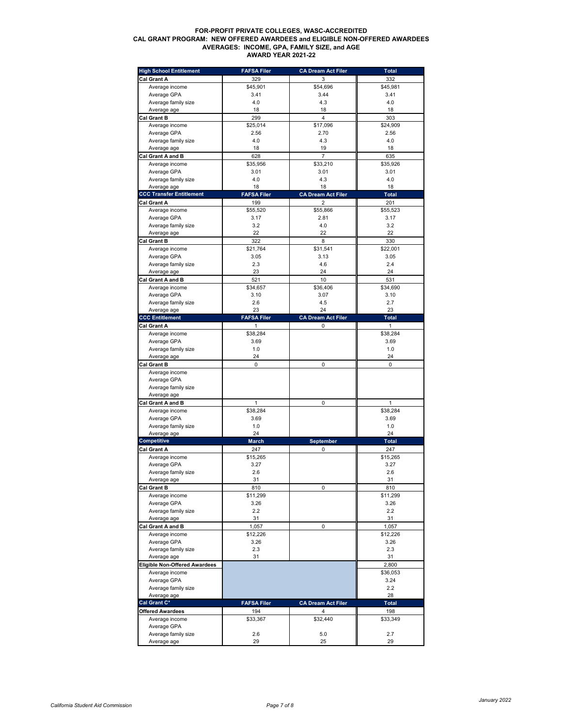# **FOR-PROFIT PRIVATE COLLEGES, WASC-ACCREDITED CAL GRANT PROGRAM: NEW OFFERED AWARDEES and ELIGIBLE NON-OFFERED AWARDEES AVERAGES: INCOME, GPA, FAMILY SIZE, and AGE AWARD YEAR 2021-22**

| <b>High School Entitlement</b>       | <b>FAFSA Filer</b> | <b>CA Dream Act Filer</b> | <b>Total</b> |
|--------------------------------------|--------------------|---------------------------|--------------|
| Cal Grant A                          | 329                | 3                         | 332          |
| Average income                       | \$45,901           | \$54,696                  | \$45,981     |
| Average GPA                          | 3.41               | 3.44                      | 3.41         |
| Average family size                  | 4.0                | 4.3                       | 4.0          |
| Average age                          | 18                 | 18                        | 18           |
| Cal Grant B                          | 299                | $\overline{4}$            | 303          |
| Average income                       | \$25,014           | \$17,096                  | \$24,909     |
| Average GPA                          | 2.56               | 2.70                      | 2.56         |
| Average family size                  | 4.0                | 4.3                       | 4.0          |
| Average age                          | 18                 | 19                        | 18           |
| Cal Grant A and B                    | 628                | $\overline{7}$            | 635          |
| Average income                       | \$35,956           | \$33,210                  | \$35,926     |
| Average GPA                          | 3.01               | 3.01                      | 3.01         |
| Average family size                  | 4.0                | 4.3                       | 4.0          |
| Average age                          | 18                 | 18                        | 18           |
| <b>CCC Transfer Entitlement</b>      | <b>FAFSA Filer</b> | <b>CA Dream Act Filer</b> | <b>Total</b> |
| Cal Grant A                          | 199                | 2                         | 201          |
| Average income                       | \$55,520           | \$55,866                  | \$55,523     |
| Average GPA                          | 3.17               | 2.81                      | 3.17         |
| Average family size                  | 3.2                | 4.0                       | 3.2          |
| Average age                          | 22                 | 22                        | 22           |
| <b>Cal Grant B</b>                   | 322                | 8                         | 330          |
| Average income                       | \$21,764           | \$31,541                  | \$22,001     |
| Average GPA                          | 3.05               | 3.13                      | 3.05         |
| Average family size                  | 2.3                | 4.6                       | 2.4          |
| Average age                          | 23                 | 24                        | 24           |
| Cal Grant A and B                    | 521                | 10                        | 531          |
| Average income                       | \$34,657           | \$36,406                  | \$34,690     |
| Average GPA                          | 3.10               | 3.07                      | 3.10         |
| Average family size                  | 2.6                | 4.5                       | 2.7          |
| Average age                          | 23                 | 24                        | 23           |
| <b>CCC Entitlement</b>               | <b>FAFSA Filer</b> | <b>CA Dream Act Filer</b> | <b>Total</b> |
| Cal Grant A                          | 1                  | 0                         | $\mathbf{1}$ |
| Average income                       | \$38,284           |                           | \$38,284     |
| Average GPA                          | 3.69               |                           | 3.69         |
| Average family size                  | 1.0                |                           | 1.0          |
| Average age                          | 24                 |                           | 24           |
| <b>Cal Grant B</b>                   | 0                  | 0                         | 0            |
| Average income                       |                    |                           |              |
| Average GPA                          |                    |                           |              |
| Average family size                  |                    |                           |              |
| Average age                          |                    |                           |              |
| Cal Grant A and B                    | $\mathbf{1}$       | 0                         | 1            |
| Average income                       | \$38,284           |                           | \$38,284     |
| Average GPA                          | 3.69               |                           | 3.69         |
| Average family size                  | 1.0                |                           | 1.0          |
| Average age                          | 24                 |                           | 24           |
| Competitive                          | <b>March</b>       | September                 | <b>Total</b> |
| Cal Grant A                          | 247                | 0                         | 247          |
| Average income                       | \$15,265           |                           | \$15,265     |
| Average GPA                          | 3.27               |                           | 3.27         |
| Average family size                  | 2.6                |                           | 2.6          |
| Average age                          | 31                 | 0                         | 31<br>810    |
| <b>Cal Grant B</b><br>Average income | 810<br>\$11,299    |                           | \$11,299     |
| Average GPA                          | 3.26               |                           | 3.26         |
| Average family size                  | 2.2                |                           | 2.2          |
| Average age                          | 31                 |                           | 31           |
| Cal Grant A and B                    | 1,057              | 0                         | 1.057        |
| Average income                       | \$12,226           |                           | \$12,226     |
| Average GPA                          | 3.26               |                           | 3.26         |
| Average family size                  | 2.3                |                           | 2.3          |
| Average age                          | 31                 |                           | 31           |
| <b>Eligible Non-Offered Awardees</b> |                    |                           | 2,800        |
| Average income                       |                    |                           | \$36,053     |
| Average GPA                          |                    |                           | 3.24         |
| Average family size                  |                    |                           | 2.2          |
| Average age                          |                    |                           | 28           |
| Cal Grant C*                         | <b>FAFSA Filer</b> | <b>CA Dream Act Filer</b> | Total        |
| Offered Awardees                     | 194                | 4                         | 198          |
| Average income                       | \$33,367           | \$32,440                  | \$33,349     |
| Average GPA                          |                    |                           |              |
| Average family size                  | 2.6                | 5.0                       | 2.7          |
| Average age                          | 29                 | 25                        | 29           |